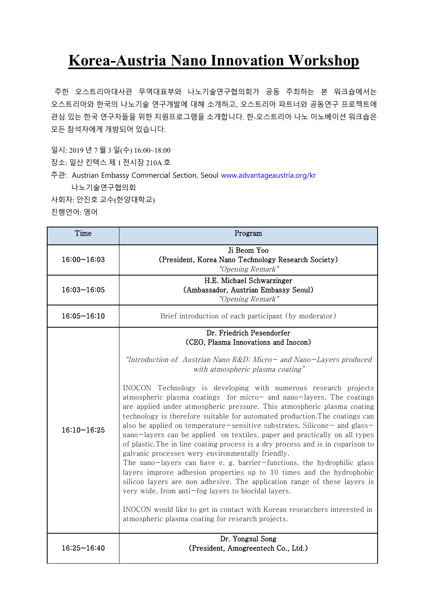## **Korea-Austria Nano Innovation Workshop**

주한 오스트리아대사관 무역대표부와 나노기술연구협의회가 공동 주최하는 본 워크숍에서는 오스트리아와 한국의 나노기술 연구개발에 대해 소개하고, 오스트리아 파트너와 공동연구 프로젝트에 관심 있는 한국 연구자들을 위한 지원프로그램을 소개합니다. 한-오스트리아 나노 이노베이션 워크숍은 모든 참석자에게 개방되어 있습니다.

일시: 2019 년 7 월 3 일(수) 16:00~18:00

장소: 일산 킨텍스 제 1 전시장 210A 호

주관: Austrian Embassy Commercial Section, Seoul www.advantageaustria.org/kr 나노기술연구협의회

사회자: 안진호 교수(한양대학교) 진행언어: 영어

| Time               | Program                                                                                                                                                                                                                                                                                                                                                                                                                                                                                                                                                                                                                                                                                                                                                                                                                                                                                                                                                                                                                                                                                                                                                                                                            |
|--------------------|--------------------------------------------------------------------------------------------------------------------------------------------------------------------------------------------------------------------------------------------------------------------------------------------------------------------------------------------------------------------------------------------------------------------------------------------------------------------------------------------------------------------------------------------------------------------------------------------------------------------------------------------------------------------------------------------------------------------------------------------------------------------------------------------------------------------------------------------------------------------------------------------------------------------------------------------------------------------------------------------------------------------------------------------------------------------------------------------------------------------------------------------------------------------------------------------------------------------|
| 16:00~16:03        | Ji Beom Yoo<br>(President, Korea Nano Technology Research Society)<br>"Opening Remark"                                                                                                                                                                                                                                                                                                                                                                                                                                                                                                                                                                                                                                                                                                                                                                                                                                                                                                                                                                                                                                                                                                                             |
| $16:03 - 16:05$    | H.E. Michael Schwarzinger<br>(Ambassador, Austrian Embassy Seoul)<br>"Opening Remark"                                                                                                                                                                                                                                                                                                                                                                                                                                                                                                                                                                                                                                                                                                                                                                                                                                                                                                                                                                                                                                                                                                                              |
| $16:05 \sim 16:10$ | Brief introduction of each participant (by moderator)                                                                                                                                                                                                                                                                                                                                                                                                                                                                                                                                                                                                                                                                                                                                                                                                                                                                                                                                                                                                                                                                                                                                                              |
| $16:10 - 16:25$    | Dr. Friedrich Pesendorfer<br>(CEO, Plasma Innovations and Inocon)<br>"Introduction of Austrian Nano R&D: Micro- and Nano-Layers produced<br>with atmospheric plasma coating"<br>INOCON Technology is developing with numerous research projects<br>atmospheric plasma coatings for micro- and nano-layers. The coatings<br>are applied under atmospheric pressure. This atmospheric plasma coating<br>technology is therefore suitable for automated production. The coatings can<br>also be applied on temperature – sensitive substrates. Silicone – and glass –<br>nano-layers can be applied on textiles, paper and practically on all types<br>of plastic. The in line coating process is a dry process and is in coparison to<br>galvanic processes wery environmentally friendly.<br>The nano-layers can have e. g. barrier-functions, the hydrophilic glass<br>layers improve adhesion properties up to 10 times and the hydrophobic<br>silicon layers are non adhesive. The application range of these layers is<br>very wide, from anti-fog layers to biocidal layers.<br>INOCON would like to get in contact with Korean researchers interested in<br>atmospheric plasma coating for research projects. |
| $16:25 - 16:40$    | Dr. Yongsul Song<br>(President, Amogreentech Co., Ltd.)                                                                                                                                                                                                                                                                                                                                                                                                                                                                                                                                                                                                                                                                                                                                                                                                                                                                                                                                                                                                                                                                                                                                                            |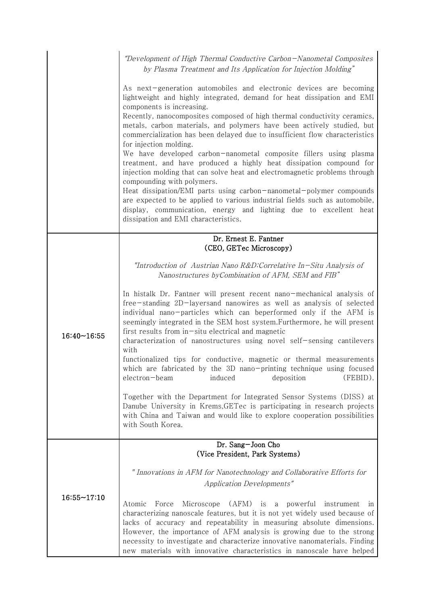|                    | "Development of High Thermal Conductive Carbon-Nanometal Composites<br>by Plasma Treatment and Its Application for Injection Molding"                                                                                                                                                                                                                                                                                                                                                                                                                                                                                                                                                                                                                                                                                                                                                                                                                                                                                                                        |
|--------------------|--------------------------------------------------------------------------------------------------------------------------------------------------------------------------------------------------------------------------------------------------------------------------------------------------------------------------------------------------------------------------------------------------------------------------------------------------------------------------------------------------------------------------------------------------------------------------------------------------------------------------------------------------------------------------------------------------------------------------------------------------------------------------------------------------------------------------------------------------------------------------------------------------------------------------------------------------------------------------------------------------------------------------------------------------------------|
|                    | As next-generation automobiles and electronic devices are becoming<br>lightweight and highly integrated, demand for heat dissipation and EMI<br>components is increasing.<br>Recently, nanocomposites composed of high thermal conductivity ceramics,<br>metals, carbon materials, and polymers have been actively studied, but<br>commercialization has been delayed due to insufficient flow characteristics<br>for injection molding.<br>We have developed carbon-nanometal composite fillers using plasma<br>treatment, and have produced a highly heat dissipation compound for<br>injection molding that can solve heat and electromagnetic problems through<br>compounding with polymers.<br>Heat dissipation/EMI parts using carbon-nanometal-polymer compounds<br>are expected to be applied to various industrial fields such as automobile,<br>display, communication, energy and lighting due to excellent heat<br>dissipation and EMI characteristics.                                                                                          |
|                    | Dr. Ernest E. Fantner                                                                                                                                                                                                                                                                                                                                                                                                                                                                                                                                                                                                                                                                                                                                                                                                                                                                                                                                                                                                                                        |
| $16:40 - 16:55$    | (CEO, GETec Microscopy)<br>"Introduction of Austrian Nano R&D:Correlative In-Situ Analysis of<br>Nanostructures by Combination of AFM, SEM and FIB"<br>In histalk Dr. Fantner will present recent nano-mechanical analysis of<br>free-standing 2D-layersand nanowires as well as analysis of selected<br>individual nano-particles which can beperformed only if the AFM is<br>seemingly integrated in the SEM host system. Furthermore, he will present<br>first results from in-situ electrical and magnetic<br>characterization of nanostructures using novel self-sensing cantilevers<br>with<br>functionalized tips for conductive, magnetic or thermal measurements<br>which are fabricated by the 3D nano-printing technique using focused<br>(FEBID).<br>electron-beam<br>deposition<br>induced<br>Together with the Department for Integrated Sensor Systems (DISS) at<br>Danube University in Krems, GETec is participating in research projects<br>with China and Taiwan and would like to explore cooperation possibilities<br>with South Korea. |
|                    | Dr. Sang-Joon Cho<br>(Vice President, Park Systems)                                                                                                                                                                                                                                                                                                                                                                                                                                                                                                                                                                                                                                                                                                                                                                                                                                                                                                                                                                                                          |
| $16:55 \sim 17:10$ | " Innovations in AFM for Nanotechnology and Collaborative Efforts for<br><b>Application Developments"</b><br>Microscope (AFM) is a powerful<br>Atomic<br>Force<br>instrument<br>ın<br>characterizing nanoscale features, but it is not yet widely used because of<br>lacks of accuracy and repeatability in measuring absolute dimensions.<br>However, the importance of AFM analysis is growing due to the strong<br>necessity to investigate and characterize innovative nanomaterials. Finding<br>new materials with innovative characteristics in nanoscale have helped                                                                                                                                                                                                                                                                                                                                                                                                                                                                                  |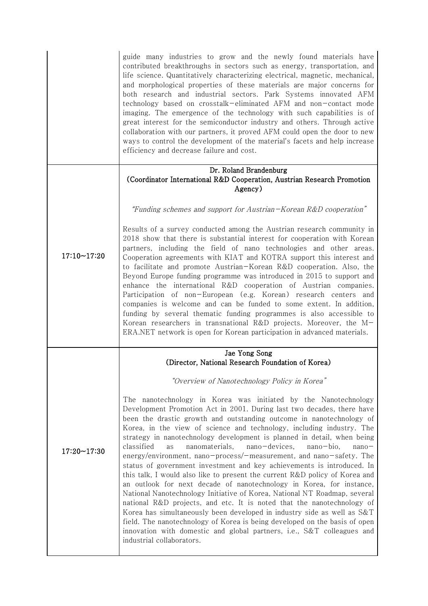|                 | guide many industries to grow and the newly found materials have<br>contributed breakthroughs in sectors such as energy, transportation, and<br>life science. Quantitatively characterizing electrical, magnetic, mechanical,<br>and morphological properties of these materials are major concerns for<br>both research and industrial sectors. Park Systems innovated AFM<br>technology based on crosstalk-eliminated AFM and non-contact mode<br>imaging. The emergence of the technology with such capabilities is of<br>great interest for the semiconductor industry and others. Through active<br>collaboration with our partners, it proved AFM could open the door to new<br>ways to control the development of the material's facets and help increase<br>efficiency and decrease failure and cost.                                                                                                                                                                                                                                                                                                                                                                       |
|-----------------|-------------------------------------------------------------------------------------------------------------------------------------------------------------------------------------------------------------------------------------------------------------------------------------------------------------------------------------------------------------------------------------------------------------------------------------------------------------------------------------------------------------------------------------------------------------------------------------------------------------------------------------------------------------------------------------------------------------------------------------------------------------------------------------------------------------------------------------------------------------------------------------------------------------------------------------------------------------------------------------------------------------------------------------------------------------------------------------------------------------------------------------------------------------------------------------|
|                 | Dr. Roland Brandenburg<br>(Coordinator International R&D Cooperation, Austrian Research Promotion<br>Agency)                                                                                                                                                                                                                                                                                                                                                                                                                                                                                                                                                                                                                                                                                                                                                                                                                                                                                                                                                                                                                                                                        |
| $17:10 - 17:20$ | "Funding schemes and support for Austrian-Korean R&D cooperation"                                                                                                                                                                                                                                                                                                                                                                                                                                                                                                                                                                                                                                                                                                                                                                                                                                                                                                                                                                                                                                                                                                                   |
|                 | Results of a survey conducted among the Austrian research community in<br>2018 show that there is substantial interest for cooperation with Korean<br>partners, including the field of nano technologies and other areas.<br>Cooperation agreements with KIAT and KOTRA support this interest and<br>to facilitate and promote Austrian-Korean R&D cooperation. Also, the<br>Beyond Europe funding programme was introduced in 2015 to support and<br>enhance the international R&D cooperation of Austrian companies.<br>Participation of non-European (e.g. Korean) research centers and<br>companies is welcome and can be funded to some extent. In addition,<br>funding by several thematic funding programmes is also accessible to<br>Korean researchers in transnational R&D projects. Moreover, the M-<br>ERA.NET network is open for Korean participation in advanced materials.                                                                                                                                                                                                                                                                                          |
|                 | Jae Yong Song<br>(Director, National Research Foundation of Korea)                                                                                                                                                                                                                                                                                                                                                                                                                                                                                                                                                                                                                                                                                                                                                                                                                                                                                                                                                                                                                                                                                                                  |
| $17:20 - 17:30$ | "Overview of Nanotechnology Policy in Korea"                                                                                                                                                                                                                                                                                                                                                                                                                                                                                                                                                                                                                                                                                                                                                                                                                                                                                                                                                                                                                                                                                                                                        |
|                 | The nanotechnology in Korea was initiated by the Nanotechnology<br>Development Promotion Act in 2001. During last two decades, there have<br>been the drastic growth and outstanding outcome in nanotechnology of<br>Korea, in the view of science and technology, including industry. The<br>strategy in nanotechnology development is planned in detail, when being<br>classified<br>nanomaterials,<br>nano-devices,<br>nano-bio,<br>as<br>$nano-$<br>energy/environment, nano-process/-measurement, and nano-safety. The<br>status of government investment and key achievements is introduced. In<br>this talk, I would also like to present the current R&D policy of Korea and<br>an outlook for next decade of nanotechnology in Korea, for instance,<br>National Nanotechnology Initiative of Korea, National NT Roadmap, several<br>national R&D projects, and etc. It is noted that the nanotechnology of<br>Korea has simultaneously been developed in industry side as well as S&T<br>field. The nanotechnology of Korea is being developed on the basis of open<br>innovation with domestic and global partners, i.e., S&T colleagues and<br>industrial collaborators. |